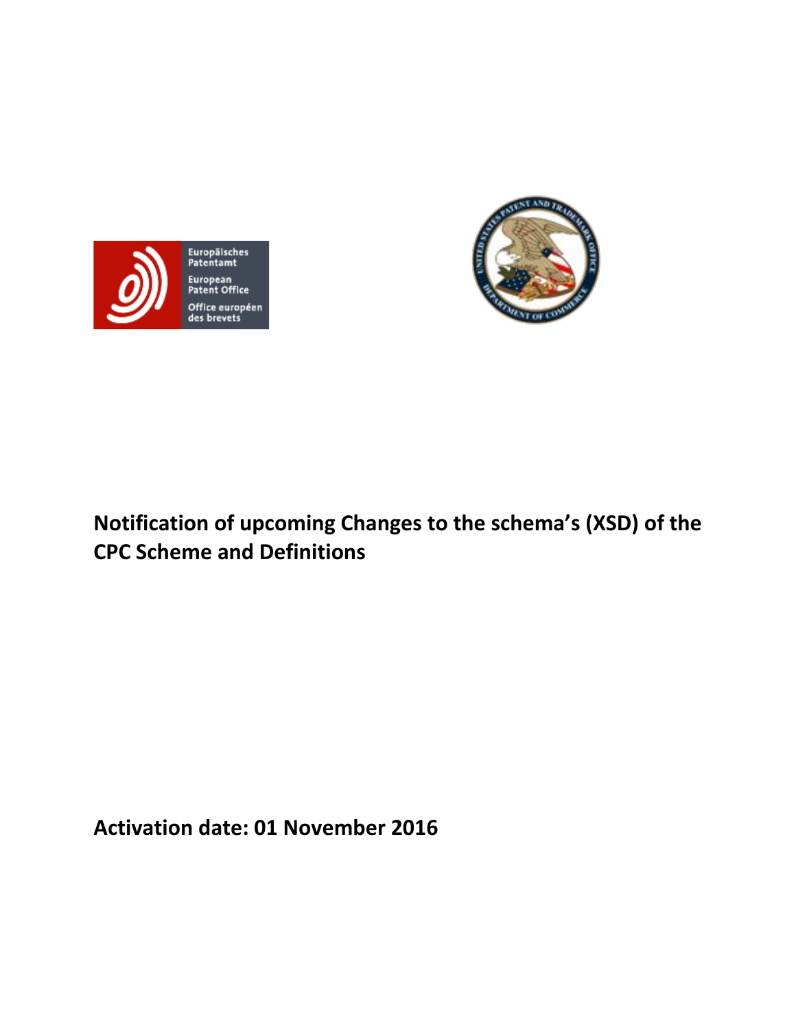



# **Notification of upcoming Changes to the schema's (XSD) of the CPC Scheme and Definitions**

**Activation date: 01 November 2016**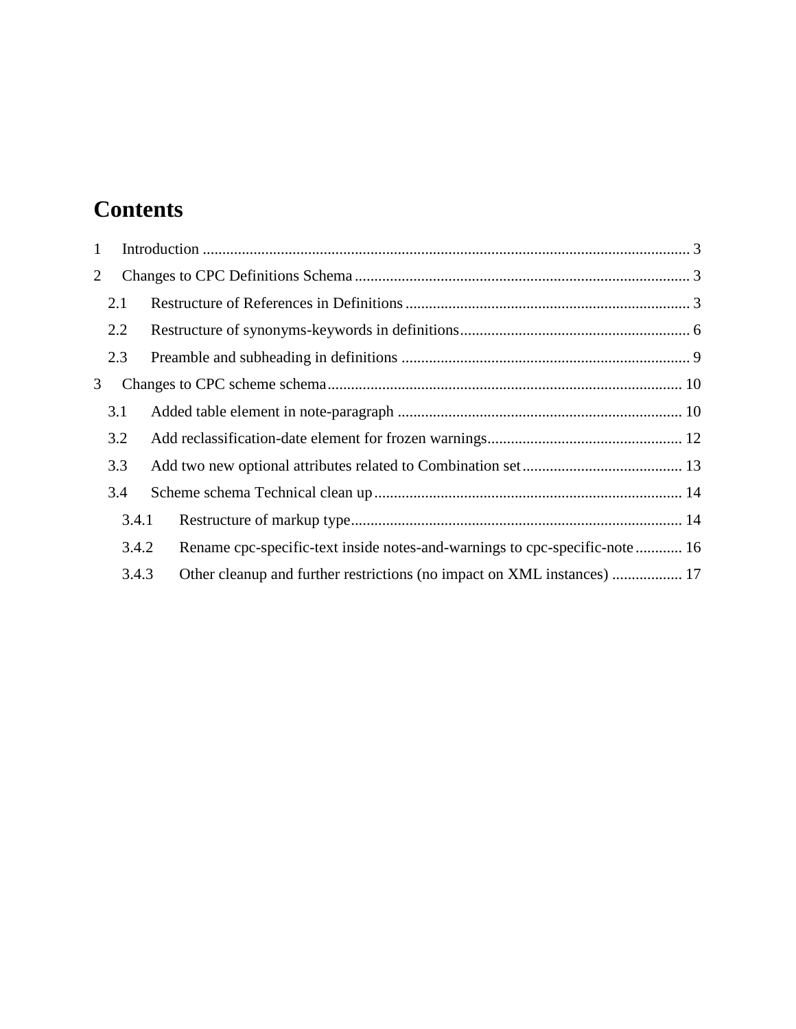# **Contents**

| $\mathbf{1}$ |       |  |                                                                            |  |
|--------------|-------|--|----------------------------------------------------------------------------|--|
| 2            |       |  |                                                                            |  |
|              | 2.1   |  |                                                                            |  |
|              | 2.2   |  |                                                                            |  |
|              | 2.3   |  |                                                                            |  |
| 3            |       |  |                                                                            |  |
|              | 3.1   |  |                                                                            |  |
|              | 3.2   |  |                                                                            |  |
|              | 3.3   |  |                                                                            |  |
| 3.4          |       |  |                                                                            |  |
|              | 3.4.1 |  |                                                                            |  |
|              | 3.4.2 |  | Rename cpc-specific-text inside notes-and-warnings to cpc-specific-note 16 |  |
|              | 3.4.3 |  | Other cleanup and further restrictions (no impact on XML instances)  17    |  |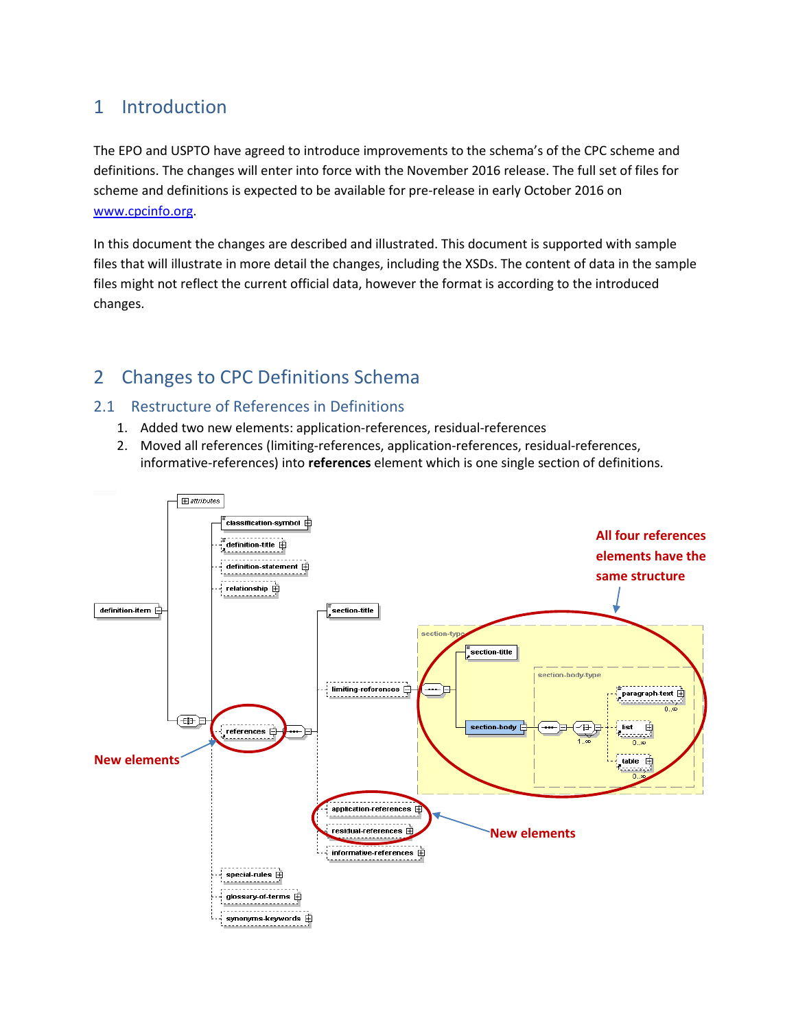# <span id="page-2-0"></span>1 Introduction

The EPO and USPTO have agreed to introduce improvements to the schema's of the CPC scheme and definitions. The changes will enter into force with the November 2016 release. The full set of files for scheme and definitions is expected to be available for pre-release in early October 2016 on [www.cpcinfo.org.](http://www.cpcinfo.org/)

In this document the changes are described and illustrated. This document is supported with sample files that will illustrate in more detail the changes, including the XSDs. The content of data in the sample files might not reflect the current official data, however the format is according to the introduced changes.

# <span id="page-2-1"></span>2 Changes to CPC Definitions Schema

# <span id="page-2-2"></span>2.1 Restructure of References in Definitions

- 1. Added two new elements: application-references, residual-references
- 2. Moved all references (limiting-references, application-references, residual-references, informative-references) into **references** element which is one single section of definitions.

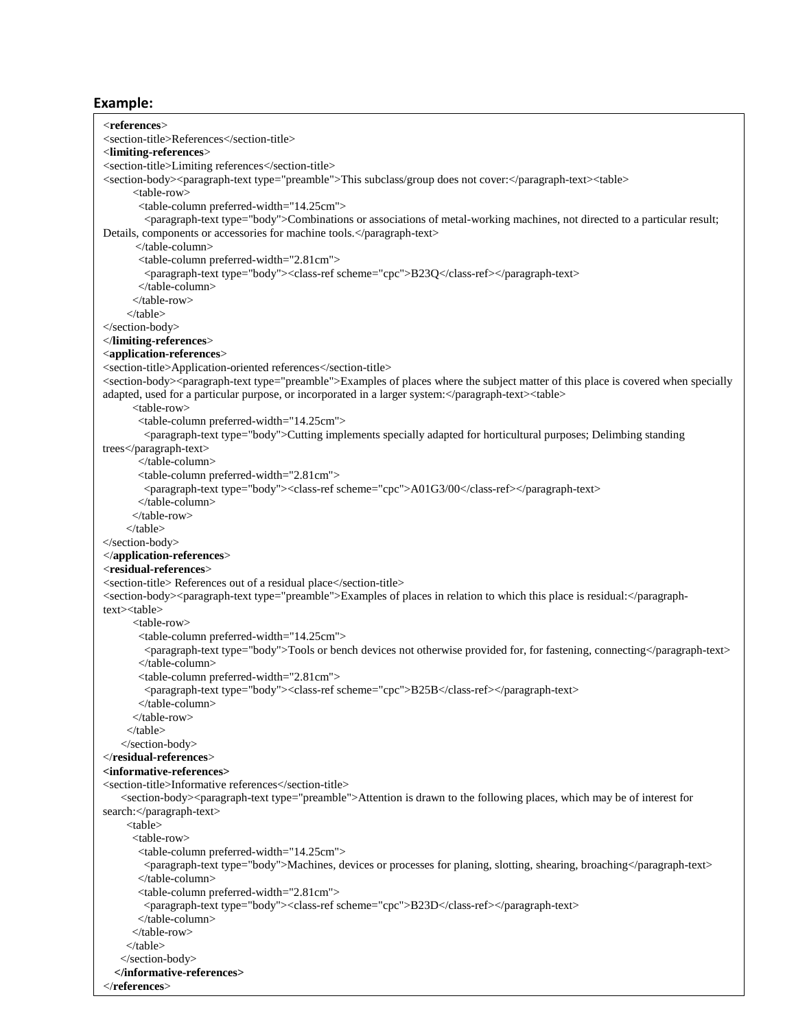<**references**> <section-title>References</section-title> <**limiting-references**> <section-title>Limiting references</section-title> <section-body><paragraph-text type="preamble">This subclass/group does not cover:</paragraph-text><table> <table-row> <table-column preferred-width="14.25cm"> <paragraph-text type="body">Combinations or associations of metal-working machines, not directed to a particular result; Details, components or accessories for machine tools.</paragraph-text> </table-column> <table-column preferred-width="2.81cm"> <paragraph-text type="body"><class-ref scheme="cpc">B23Q</class-ref></paragraph-text> </table-column> </table-row>  $\epsilon$ /table $\epsilon$ </section-body> </**limiting-references**> <**application-references**> <section-title>Application-oriented references</section-title> <section-body><paragraph-text type="preamble">Examples of places where the subject matter of this place is covered when specially adapted, used for a particular purpose, or incorporated in a larger system:</paragraph-text><table> <table-row> <table-column preferred-width="14.25cm"> <paragraph-text type="body">Cutting implements specially adapted for horticultural purposes; Delimbing standing trees</paragraph-text> </table-column> <table-column preferred-width="2.81cm"> <paragraph-text type="body"><class-ref scheme="cpc">A01G3/00</class-ref></paragraph-text> </table-column> </table-row> </table> </section-body> </**application-references**> <**residual-references**> <section-title> References out of a residual place</section-title> <section-body><paragraph-text type="preamble">Examples of places in relation to which this place is residual:</paragraphtext><table> <table-row> <table-column preferred-width="14.25cm"> <paragraph-text type="body">Tools or bench devices not otherwise provided for, for fastening, connecting</paragraph-text> </table-column> <table-column preferred-width="2.81cm"> <paragraph-text type="body"><class-ref scheme="cpc">B25B</class-ref></paragraph-text> </table-column> </table-row> </table> </section-body> </**residual-references**> **<informative-references>** <section-title>Informative references</section-title> <section-body><paragraph-text type="preamble">Attention is drawn to the following places, which may be of interest for search:</paragraph-text> <table> <table-row> <table-column preferred-width="14.25cm"> <paragraph-text type="body">Machines, devices or processes for planing, slotting, shearing, broaching</paragraph-text> </table-column> <table-column preferred-width="2.81cm"> <paragraph-text type="body"><class-ref scheme="cpc">B23D</class-ref></paragraph-text> </table-column> </table-row> </table> </section-body> **</informative-references>** </**references**>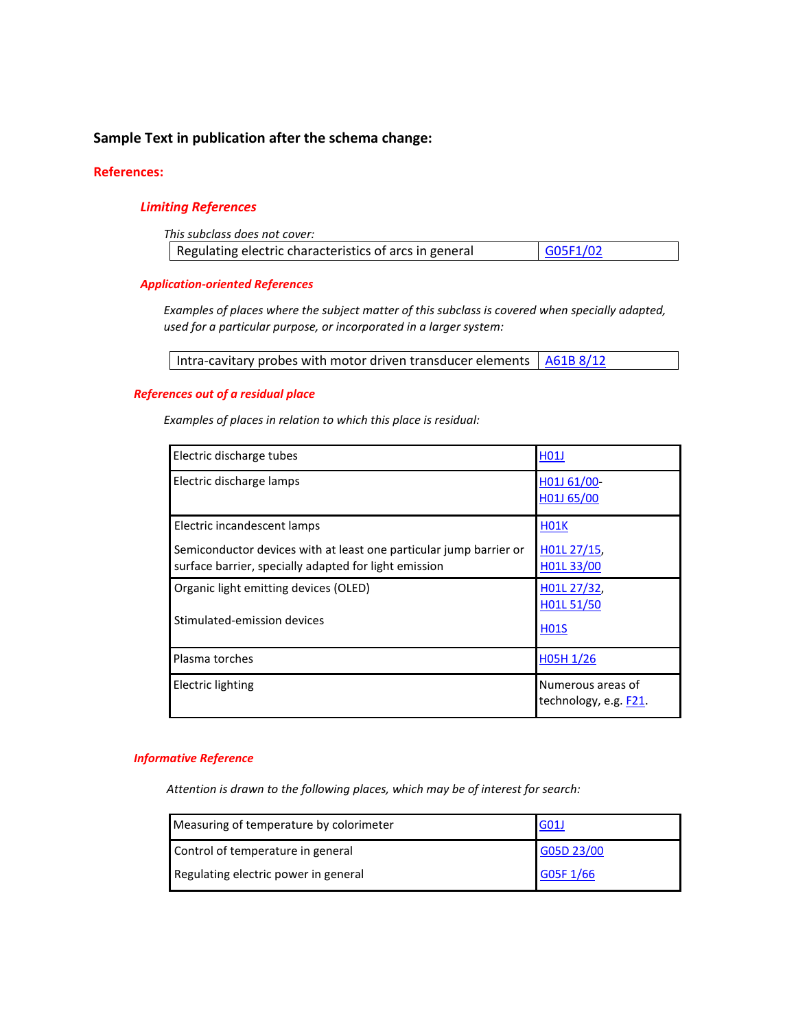# **Sample Text in publication after the schema change:**

### **References:**

### *Limiting References*

| This subclass does not cover:                          |          |  |  |
|--------------------------------------------------------|----------|--|--|
| Regulating electric characteristics of arcs in general | G05F1/02 |  |  |

#### *Application-oriented References*

*Examples of places where the subject matter of this subclass is covered when specially adapted, used for a particular purpose, or incorporated in a larger system:* 

| Intra-cavitary probes with motor driven transducer elements $\frac{1.461B8}{12}$ |  |
|----------------------------------------------------------------------------------|--|
|----------------------------------------------------------------------------------|--|

### *References out of a residual place*

*Examples of places in relation to which this place is residual:*

| Electric discharge tubes                                                                                                    | <b>H01J</b>                                |
|-----------------------------------------------------------------------------------------------------------------------------|--------------------------------------------|
| Electric discharge lamps                                                                                                    | H01J 61/00-<br>H01J 65/00                  |
| Electric incandescent lamps                                                                                                 | <b>H01K</b>                                |
| Semiconductor devices with at least one particular jump barrier or<br>surface barrier, specially adapted for light emission | H01L 27/15,<br>H01L 33/00                  |
| Organic light emitting devices (OLED)                                                                                       | H01L 27/32,                                |
| Stimulated-emission devices                                                                                                 | H01L 51/50<br><b>H01S</b>                  |
| Plasma torches                                                                                                              | $H$ <sub>05</sub> $H$ <sub>1</sub> /26     |
| <b>Electric lighting</b>                                                                                                    | Numerous areas of<br>technology, e.g. F21. |

#### *Informative Reference*

*Attention is drawn to the following places, which may be of interest for search:* 

| Measuring of temperature by colorimeter | G01J       |
|-----------------------------------------|------------|
| Control of temperature in general       | G05D 23/00 |
| Regulating electric power in general    | G05F 1/66  |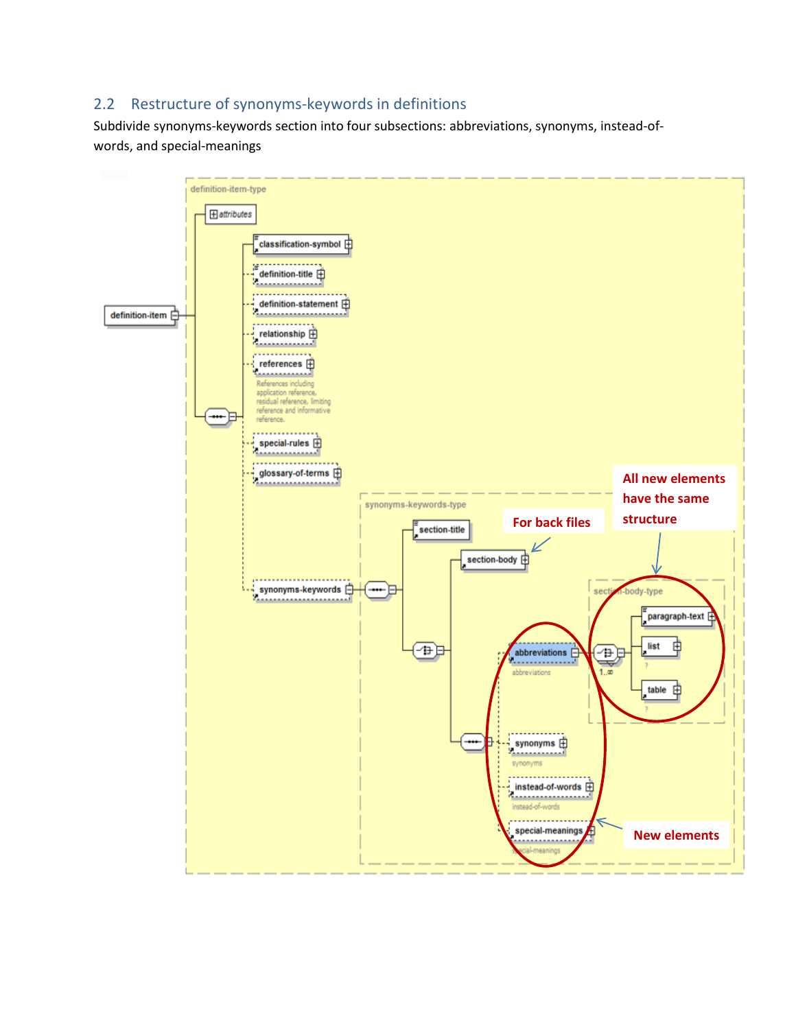# <span id="page-5-0"></span>2.2 Restructure of synonyms-keywords in definitions

Subdivide synonyms-keywords section into four subsections: abbreviations, synonyms, instead-ofwords, and special-meanings

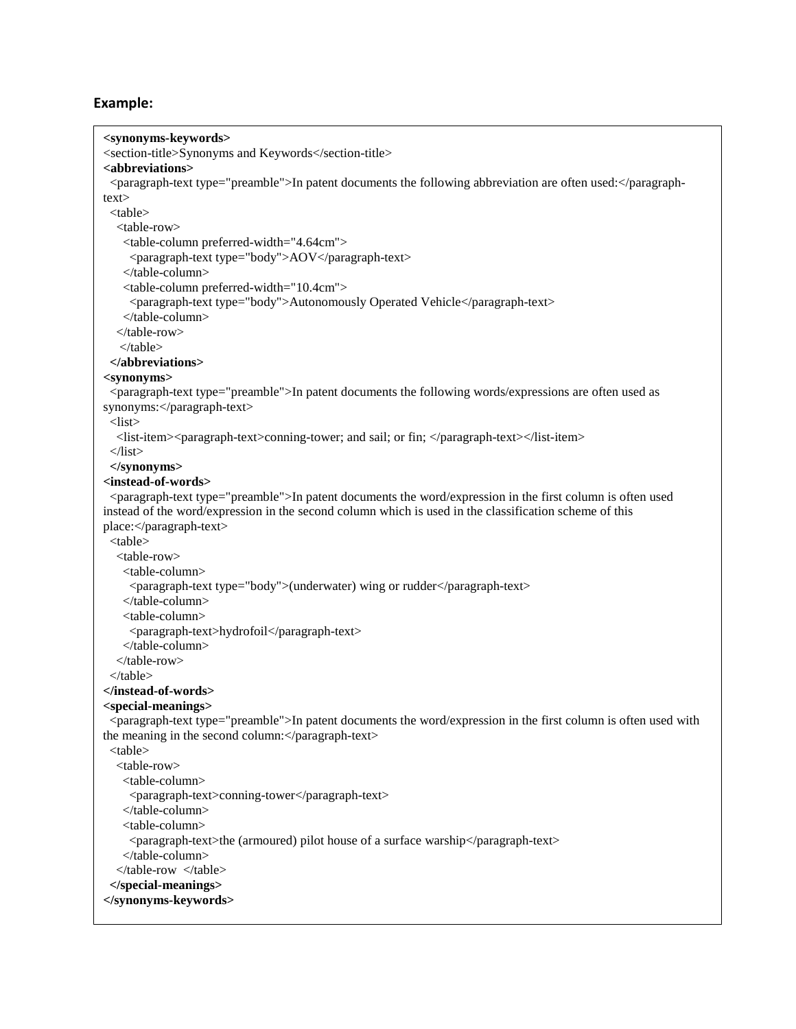| <synonyms-keywords></synonyms-keywords>                                                                                                                               |
|-----------------------------------------------------------------------------------------------------------------------------------------------------------------------|
| <section-title>Synonyms and Keywords</section-title>                                                                                                                  |
| <abbreviations></abbreviations>                                                                                                                                       |
| <paragraph-text type="preamble">In patent documents the following abbreviation are often used:</paragraph-text>                                                       |
| text>                                                                                                                                                                 |
| $<$ table $>$                                                                                                                                                         |
| <table-row></table-row>                                                                                                                                               |
| <table-column preferred-width="4.64cm"></table-column>                                                                                                                |
| <paragraph-text type="body">AOV</paragraph-text>                                                                                                                      |
|                                                                                                                                                                       |
| <table-column preferred-width="10.4cm"></table-column>                                                                                                                |
| <paragraph-text type="body">Autonomously Operated Vehicle</paragraph-text>                                                                                            |
|                                                                                                                                                                       |
|                                                                                                                                                                       |
| $\langle$ table>                                                                                                                                                      |
| $\langle$ abbreviations>                                                                                                                                              |
| <synonyms></synonyms>                                                                                                                                                 |
| <paragraph-text type="preamble">In patent documents the following words/expressions are often used as</paragraph-text>                                                |
| synonyms:                                                                                                                                                             |
| $<$ list $>$                                                                                                                                                          |
| <list-item><paragraph-text>conning-tower; and sail; or fin; </paragraph-text></list-item>                                                                             |
| $\langle$ list>                                                                                                                                                       |
|                                                                                                                                                                       |
| <instead-of-words></instead-of-words>                                                                                                                                 |
| <paragraph-text type="preamble">In patent documents the word/expression in the first column is often used</paragraph-text>                                            |
| instead of the word/expression in the second column which is used in the classification scheme of this                                                                |
| place:                                                                                                                                                                |
| <table></table>                                                                                                                                                       |
| <table-row></table-row>                                                                                                                                               |
| <table-column></table-column>                                                                                                                                         |
| <paragraph-text type="body">(underwater) wing or rudder</paragraph-text>                                                                                              |
|                                                                                                                                                                       |
| <table-column></table-column>                                                                                                                                         |
| <paragraph-text>hydrofoil</paragraph-text>                                                                                                                            |
|                                                                                                                                                                       |
|                                                                                                                                                                       |
| $\langle$ table $\rangle$                                                                                                                                             |
|                                                                                                                                                                       |
| $<$ special-meanings>                                                                                                                                                 |
| <paragraph-text type="preamble">In patent documents the word/expression in the first column is often used with<br/>the meaning in the second column:</paragraph-text> |
| $<$ table $>$                                                                                                                                                         |
| <table-row></table-row>                                                                                                                                               |
| <table-column></table-column>                                                                                                                                         |
| <paragraph-text>conning-tower</paragraph-text>                                                                                                                        |
|                                                                                                                                                                       |
| <table-column></table-column>                                                                                                                                         |
| <paragraph-text>the (armoured) pilot house of a surface warship</paragraph-text>                                                                                      |
|                                                                                                                                                                       |
|                                                                                                                                                                       |
|                                                                                                                                                                       |
|                                                                                                                                                                       |
|                                                                                                                                                                       |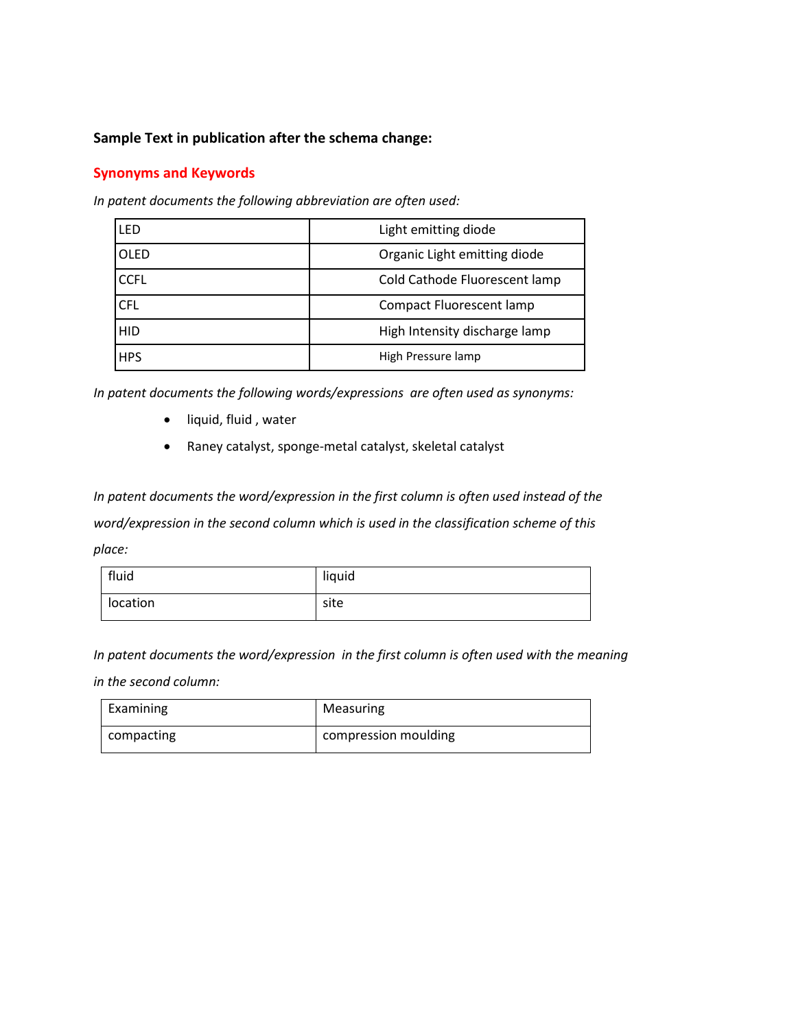## **Sample Text in publication after the schema change:**

# **Synonyms and Keywords**

*In patent documents the following abbreviation are often used:*

| LFD         | Light emitting diode            |
|-------------|---------------------------------|
| <b>OLED</b> | Organic Light emitting diode    |
| <b>CCFL</b> | Cold Cathode Fluorescent lamp   |
| <b>CFL</b>  | <b>Compact Fluorescent lamp</b> |
| HID         | High Intensity discharge lamp   |
| <b>HPS</b>  | High Pressure lamp              |

*In patent documents the following words/expressions are often used as synonyms:*

- liquid, fluid , water
- Raney catalyst, sponge-metal catalyst, skeletal catalyst

*In patent documents the word/expression in the first column is often used instead of the word/expression in the second column which is used in the classification scheme of this place:*

| fluid    | liquid |
|----------|--------|
| location | site   |

*In patent documents the word/expression in the first column is often used with the meaning* 

*in the second column:*

| Examining  | Measuring            |
|------------|----------------------|
| compacting | compression moulding |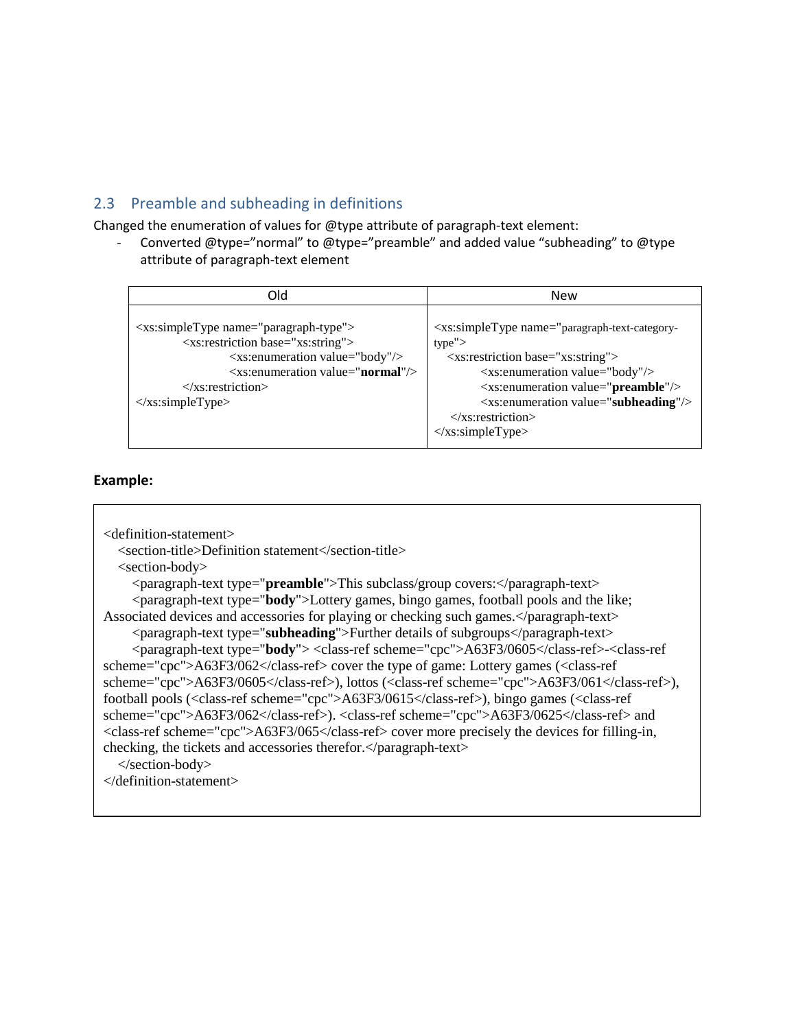# <span id="page-8-0"></span>2.3 Preamble and subheading in definitions

Changed the enumeration of values for @type attribute of paragraph-text element:

- Converted @type="normal" to @type="preamble" and added value "subheading" to @type attribute of paragraph-text element

| Old                                                                                                                                                                                                                                                                                                                                                                          | <b>New</b>                                                                                                                                                                                                                                                                                                                                                                                                                                       |
|------------------------------------------------------------------------------------------------------------------------------------------------------------------------------------------------------------------------------------------------------------------------------------------------------------------------------------------------------------------------------|--------------------------------------------------------------------------------------------------------------------------------------------------------------------------------------------------------------------------------------------------------------------------------------------------------------------------------------------------------------------------------------------------------------------------------------------------|
| $\langle x \rangle$ s: simple Type name = "paragraph-type" ><br><xs:restriction base="xs:string"><br/><xs:enumeration value="body"></xs:enumeration><br/><math>\langle x</math>s: enumeration value = "<b>normal</b>" <math>\rangle</math><br/><math>\langle x \rangle</math>s: restriction<br/><math>\langle x \rangle</math>s:simpleType<math>&gt;</math></xs:restriction> | <xs:simpletype name="paragraph-text-category-&lt;br&gt;type''&gt;&lt;br&gt;&lt;xs:restriction base=" xs:string"=""><br/><xs:enumeration value="body"></xs:enumeration><br/><xs:enumeration value="preamble"></xs:enumeration><br/><math>\langle x \rangle</math> s: enumeration value="subheading" <math>\rangle</math><br/><math>\langle x</math>s: restriction<br/><math>\langle x \rangle</math>s:simpleType<math>&gt;</math></xs:simpletype> |

```
<definition-statement>
   <section-title>Definition statement</section-title>
   <section-body>
     <paragraph-text type="preamble">This subclass/group covers:</paragraph-text>
     <paragraph-text type="body">Lottery games, bingo games, football pools and the like; 
Associated devices and accessories for playing or checking such games.</paragraph-text>
     <paragraph-text type="subheading">Further details of subgroups</paragraph-text>
      <paragraph-text type="body"> <class-ref scheme="cpc">A63F3/0605</class-ref>-<class-ref 
scheme="cpc">A63F3/062</class-ref> cover the type of game: Lottery games (<class-ref 
scheme="cpc">A63F3/0605</class-ref>), lottos (<class-ref scheme="cpc">A63F3/061</class-ref>), 
football pools (<class-ref scheme="cpc">A63F3/0615</class-ref>), bingo games (<class-ref 
scheme="cpc">A63F3/062</class-ref>). <class-ref scheme="cpc">A63F3/0625</class-ref> and 
<class-ref scheme="cpc">A63F3/065</class-ref> cover more precisely the devices for filling-in, 
checking, the tickets and accessories therefor.</paragraph-text>
   </section-body>
</definition-statement>
```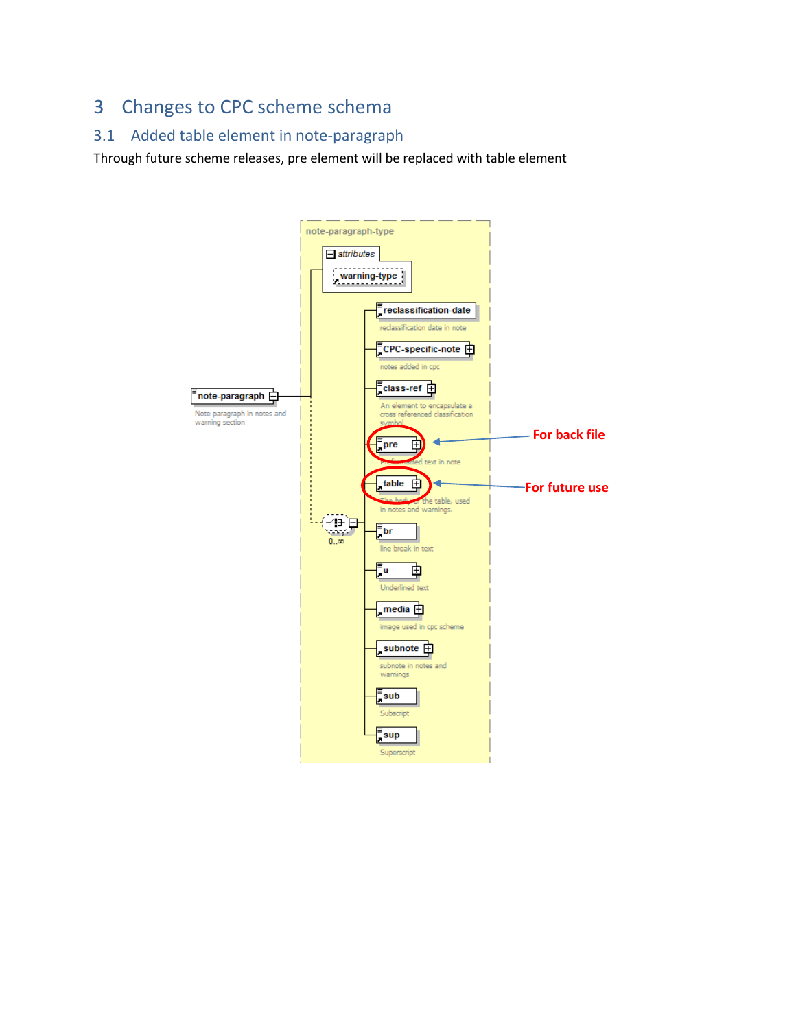# <span id="page-9-0"></span>3 Changes to CPC scheme schema

# <span id="page-9-1"></span>3.1 Added table element in note-paragraph

Through future scheme releases, pre element will be replaced with table element

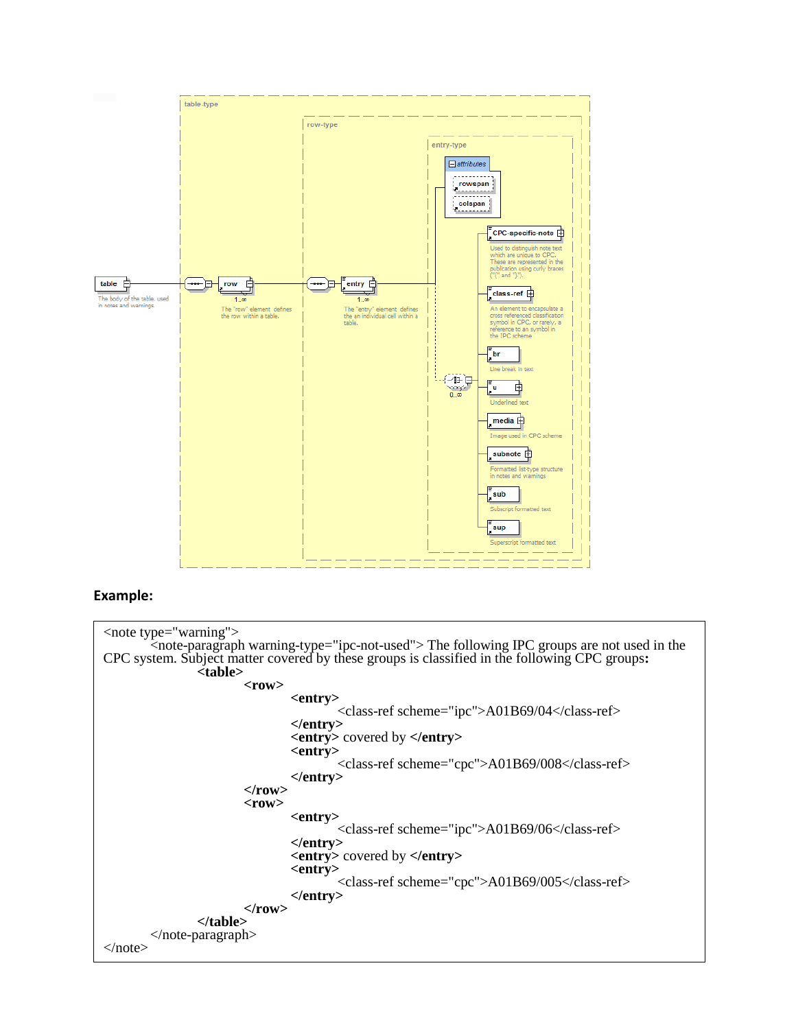

| <note type="warning"></note>                                                                               |
|------------------------------------------------------------------------------------------------------------|
| <note-paragraph warning-type="ipc-not-used"> The following IPC groups are not used in the</note-paragraph> |
| CPC system. Subject matter covered by these groups is classified in the following CPC groups:              |
| <table></table>                                                                                            |
|                                                                                                            |
| $<$ row $>$                                                                                                |
| <entry></entry>                                                                                            |
| <class-ref scheme="ipc">A01B69/04</class-ref>                                                              |
| $\langle$ entry $\rangle$                                                                                  |
| <entry> covered by </entry>                                                                                |
| <entry></entry>                                                                                            |
| <class-ref scheme="cpc">A01B69/008</class-ref>                                                             |
| $\langle$ entry $\rangle$                                                                                  |
| $<$ row $>$                                                                                                |
| $<$ row $>$                                                                                                |
|                                                                                                            |
| <entry></entry>                                                                                            |
| <class-ref scheme="ipc">A01B69/06</class-ref>                                                              |
| $\langle$ entry $\rangle$                                                                                  |
| $\leq$ entry> covered by $\leq$ /entry>                                                                    |
| <entry></entry>                                                                                            |
| <class-ref scheme="cpc">A01B69/005</class-ref>                                                             |
|                                                                                                            |
| $\langle$ entry $\rangle$                                                                                  |
| $<$ /row>                                                                                                  |
|                                                                                                            |

| $\langle$ note-paragraph $>$ |
| $\langle$  note  $>$ |
|  |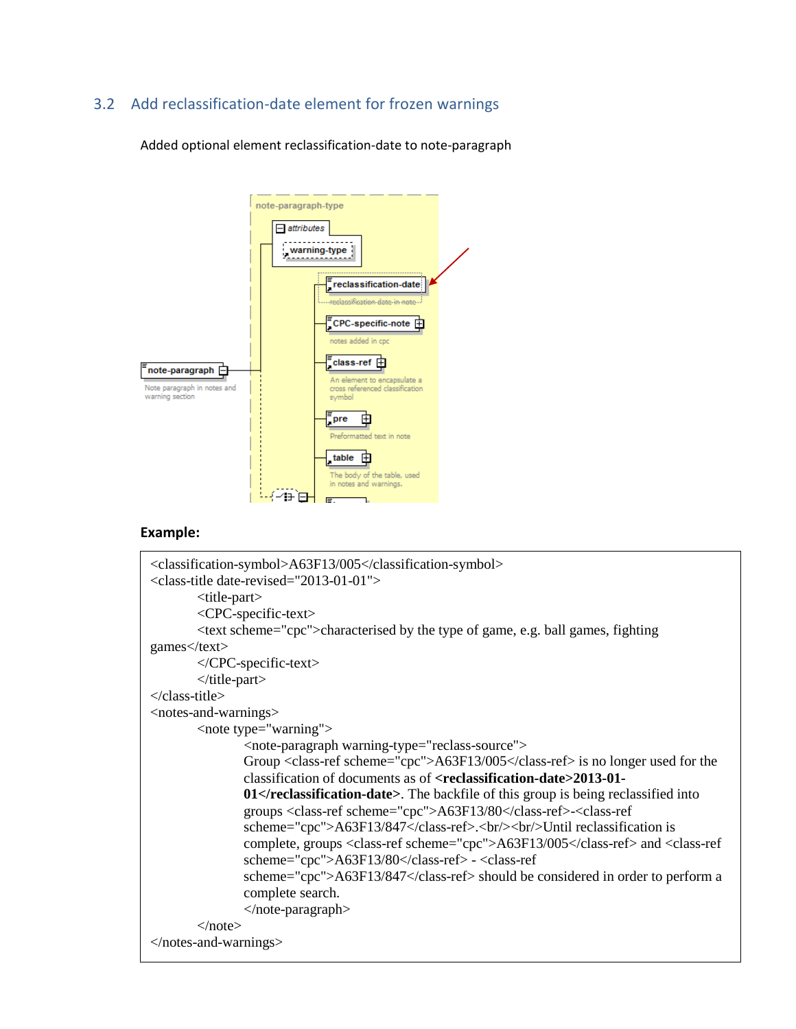# <span id="page-11-0"></span>3.2 Add reclassification-date element for frozen warnings

Added optional element reclassification-date to note-paragraph



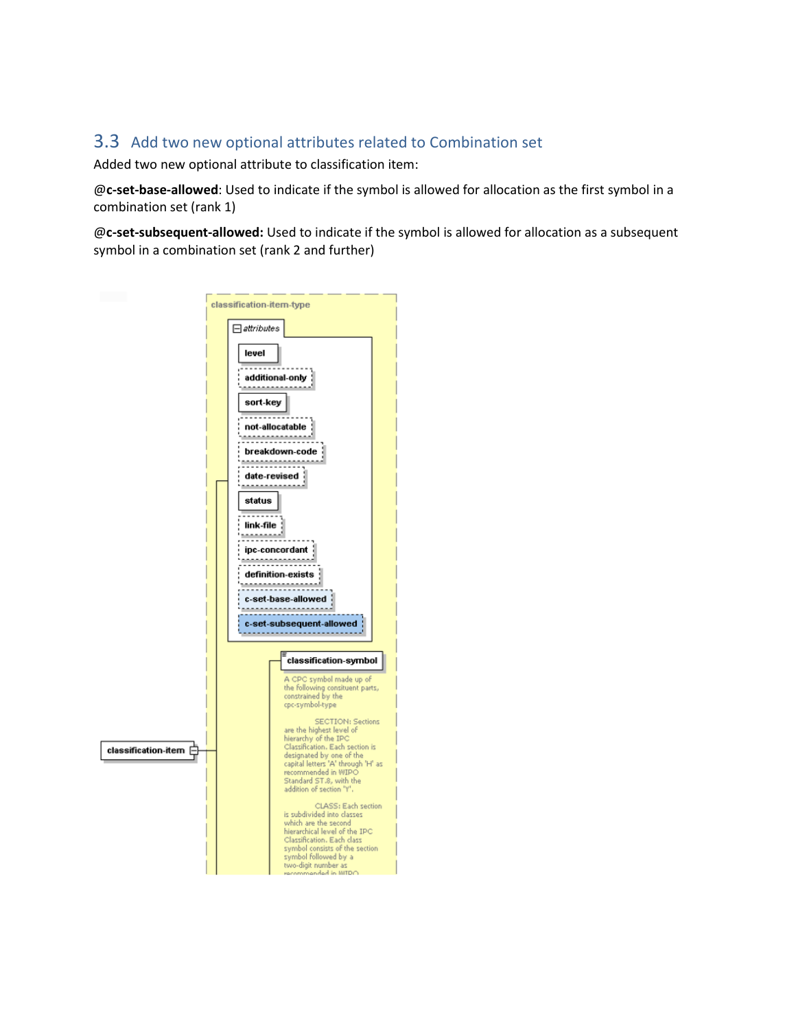# <span id="page-12-0"></span>3.3 Add two new optional attributes related to Combination set

Added two new optional attribute to classification item:

@**c-set-base-allowed**: Used to indicate if the symbol is allowed for allocation as the first symbol in a combination set (rank 1)

@**c-set-subsequent-allowed:** Used to indicate if the symbol is allowed for allocation as a subsequent symbol in a combination set (rank 2 and further)

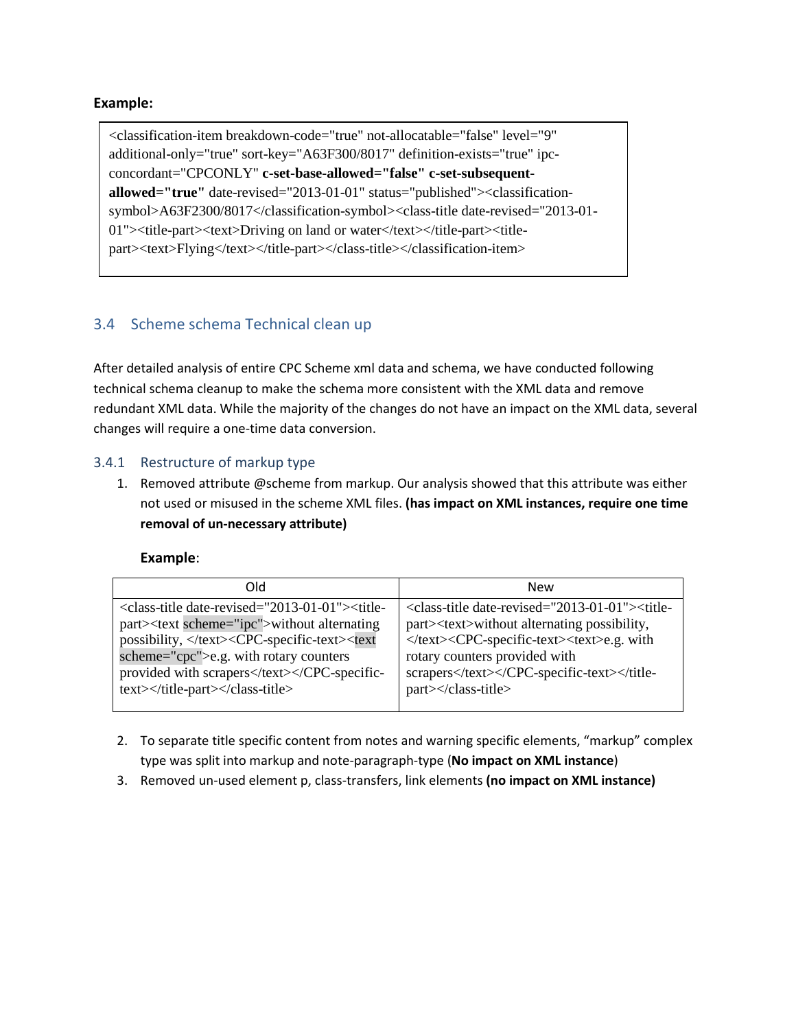<classification-item breakdown-code="true" not-allocatable="false" level="9" additional-only="true" sort-key="A63F300/8017" definition-exists="true" ipcconcordant="CPCONLY" **c-set-base-allowed="false" c-set-subsequentallowed="true"** date-revised="2013-01-01" status="published"><classificationsymbol>A63F2300/8017</classification-symbol><class-title date-revised="2013-01- 01"><title-part><text>Driving on land or water</text></title-part><titlepart><text>Flying</text></title-part></class-title></classification-item>

# <span id="page-13-0"></span>3.4 Scheme schema Technical clean up

After detailed analysis of entire CPC Scheme xml data and schema, we have conducted following technical schema cleanup to make the schema more consistent with the XML data and remove redundant XML data. While the majority of the changes do not have an impact on the XML data, several changes will require a one-time data conversion.

### <span id="page-13-1"></span>3.4.1 Restructure of markup type

1. Removed attribute @scheme from markup. Our analysis showed that this attribute was either not used or misused in the scheme XML files. **(has impact on XML instances, require one time removal of un-necessary attribute)**

| hlO                                                                                                                                                                                                                                                                                       | <b>New</b>                                                                                                                                                                                                                                                 |
|-------------------------------------------------------------------------------------------------------------------------------------------------------------------------------------------------------------------------------------------------------------------------------------------|------------------------------------------------------------------------------------------------------------------------------------------------------------------------------------------------------------------------------------------------------------|
| <class-title date-revised="2013-01-01"><title-<br>part&gt;<text scheme="ipc">without alternating<br/>possibility, </text><cpc-specific-text><text<br>scheme="cpc"&gt;e.g. with rotary counters<br/>provided with scraperstext&gt;</text<br></cpc-specific-text></title-<br></class-title> | <class-title date-revised="2013-01-01"><title-<br>part&gt;<text>without alternating possibility,<br/></text><cpc-specific-text><text>e.g. with<br/>rotary counters provided with<br/>scrapers</text></cpc-specific-text></title-<br>part&gt;</class-title> |
|                                                                                                                                                                                                                                                                                           |                                                                                                                                                                                                                                                            |

- 2. To separate title specific content from notes and warning specific elements, "markup" complex type was split into markup and note-paragraph-type (**No impact on XML instance**)
- 3. Removed un-used element p, class-transfers, link elements **(no impact on XML instance)**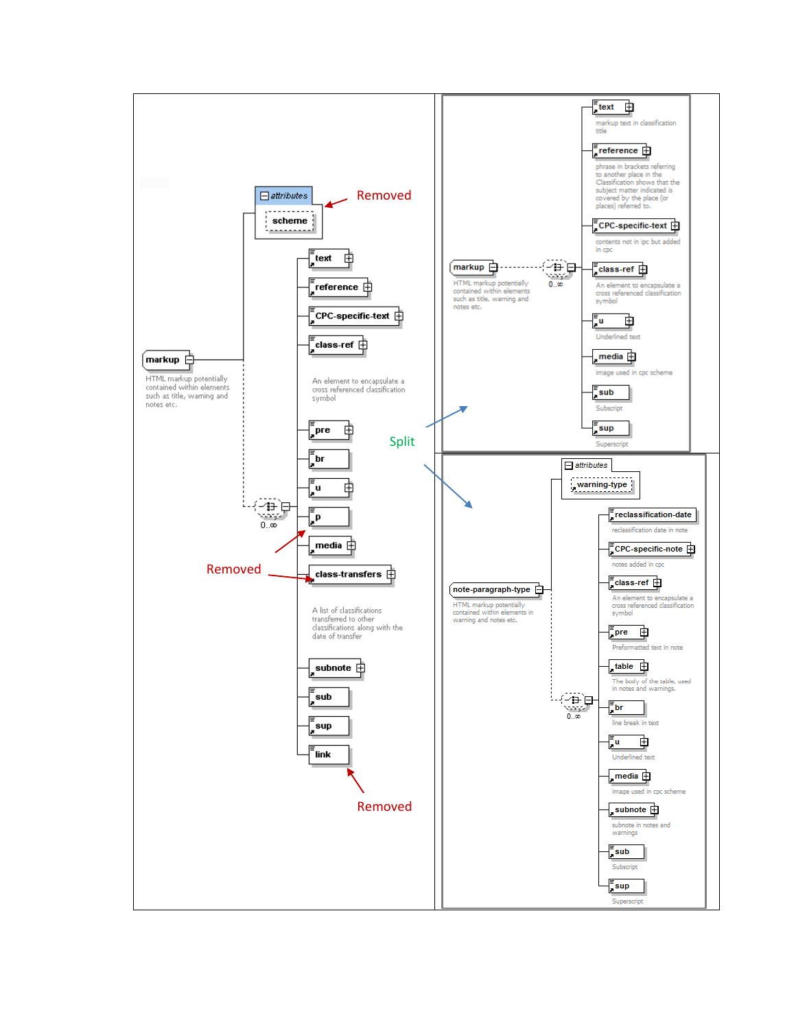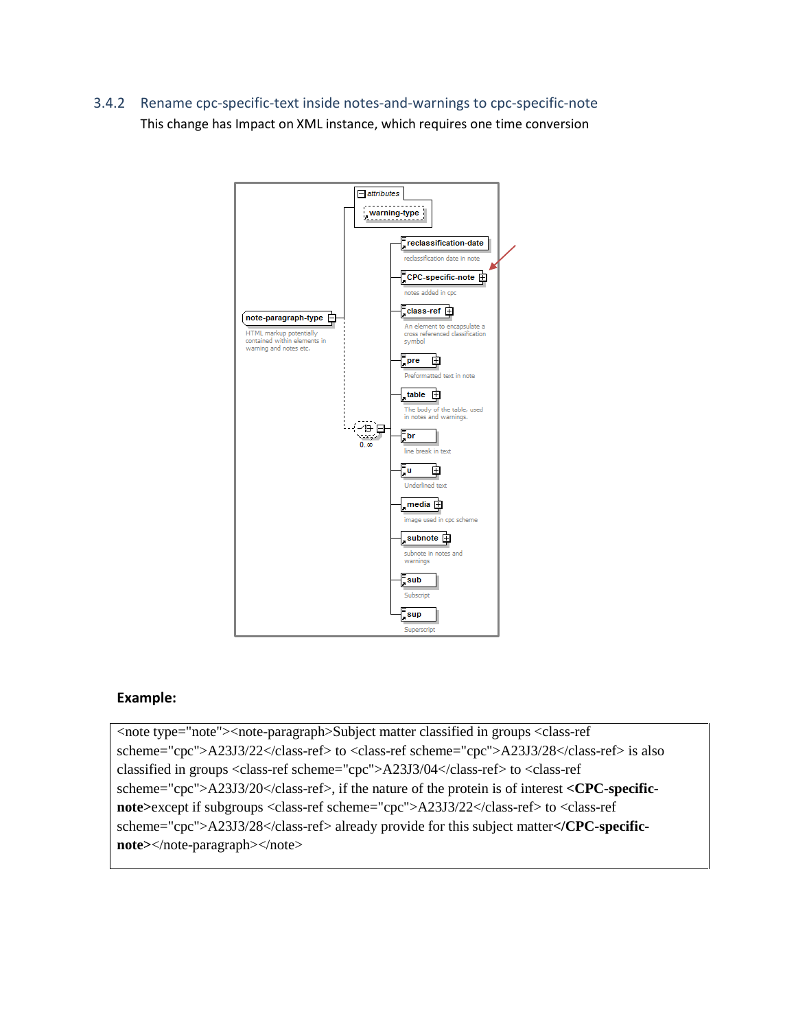<span id="page-15-0"></span>3.4.2 Rename cpc-specific-text inside notes-and-warnings to cpc-specific-note This change has Impact on XML instance, which requires one time conversion



### **Example:**

<note type="note"><note-paragraph>Subject matter classified in groups <class-ref scheme="cpc">A23J3/22</class-ref> to <class-ref scheme="cpc">A23J3/28</class-ref> is also classified in groups <class-ref scheme="cpc">A23J3/04</class-ref> to <class-ref scheme="cpc">A23J3/20</class-ref>, if the nature of the protein is of interest **<CPC-specificnote>**except if subgroups <class-ref scheme="cpc">A23J3/22</class-ref> to <class-ref scheme="cpc">A23J3/28</class-ref> already provide for this subject matter**</CPC-specificnote>**</note-paragraph></note>